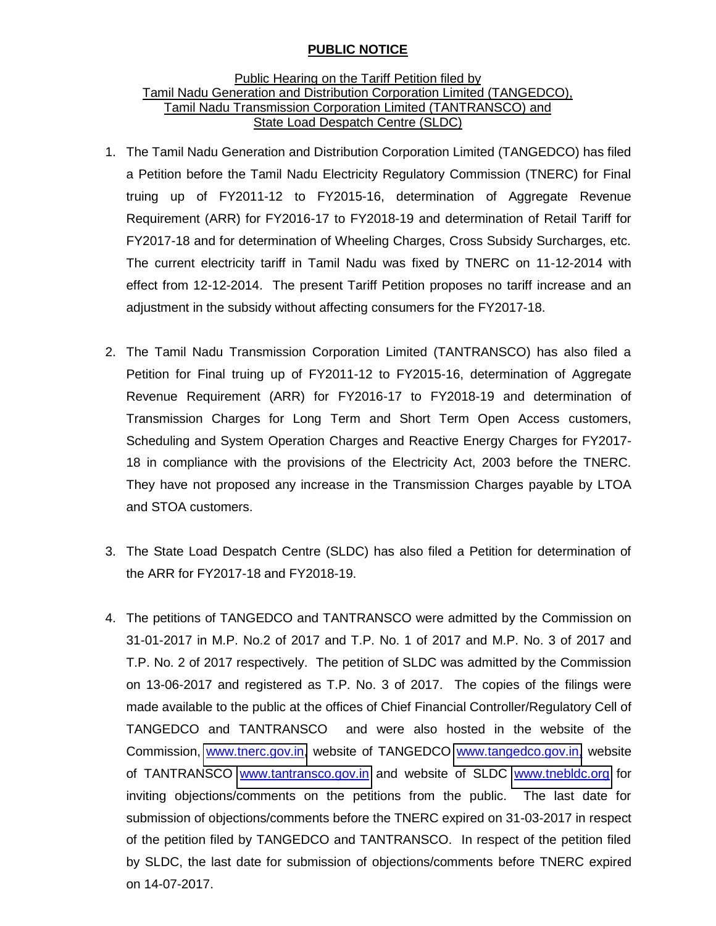## **PUBLIC NOTICE**

## Public Hearing on the Tariff Petition filed by Tamil Nadu Generation and Distribution Corporation Limited (TANGEDCO), Tamil Nadu Transmission Corporation Limited (TANTRANSCO) and State Load Despatch Centre (SLDC)

- 1. The Tamil Nadu Generation and Distribution Corporation Limited (TANGEDCO) has filed a Petition before the Tamil Nadu Electricity Regulatory Commission (TNERC) for Final truing up of FY2011-12 to FY2015-16, determination of Aggregate Revenue Requirement (ARR) for FY2016-17 to FY2018-19 and determination of Retail Tariff for FY2017-18 and for determination of Wheeling Charges, Cross Subsidy Surcharges, etc. The current electricity tariff in Tamil Nadu was fixed by TNERC on 11-12-2014 with effect from 12-12-2014. The present Tariff Petition proposes no tariff increase and an adjustment in the subsidy without affecting consumers for the FY2017-18.
- 2. The Tamil Nadu Transmission Corporation Limited (TANTRANSCO) has also filed a Petition for Final truing up of FY2011-12 to FY2015-16, determination of Aggregate Revenue Requirement (ARR) for FY2016-17 to FY2018-19 and determination of Transmission Charges for Long Term and Short Term Open Access customers, Scheduling and System Operation Charges and Reactive Energy Charges for FY2017- 18 in compliance with the provisions of the Electricity Act, 2003 before the TNERC. They have not proposed any increase in the Transmission Charges payable by LTOA and STOA customers.
- 3. The State Load Despatch Centre (SLDC) has also filed a Petition for determination of the ARR for FY2017-18 and FY2018-19.
- 4. The petitions of TANGEDCO and TANTRANSCO were admitted by the Commission on 31-01-2017 in M.P. No.2 of 2017 and T.P. No. 1 of 2017 and M.P. No. 3 of 2017 and T.P. No. 2 of 2017 respectively. The petition of SLDC was admitted by the Commission on 13-06-2017 and registered as T.P. No. 3 of 2017. The copies of the filings were made available to the public at the offices of Chief Financial Controller/Regulatory Cell of TANGEDCO and TANTRANSCO and were also hosted in the website of the Commission, [www.tnerc.gov.in,](http://www.tnerc.gov.in/) website of TANGEDCO [www.tangedco.gov.in,](http://www.tangedco.gov.in/) website of TANTRANSCO [www.tantransco.gov.in](http://www.tantransco.gov.in/) and website of SLDC [www.tnebldc.org](http://www.tnebldc.org/) for inviting objections/comments on the petitions from the public. The last date for submission of objections/comments before the TNERC expired on 31-03-2017 in respect of the petition filed by TANGEDCO and TANTRANSCO. In respect of the petition filed by SLDC, the last date for submission of objections/comments before TNERC expired on 14-07-2017.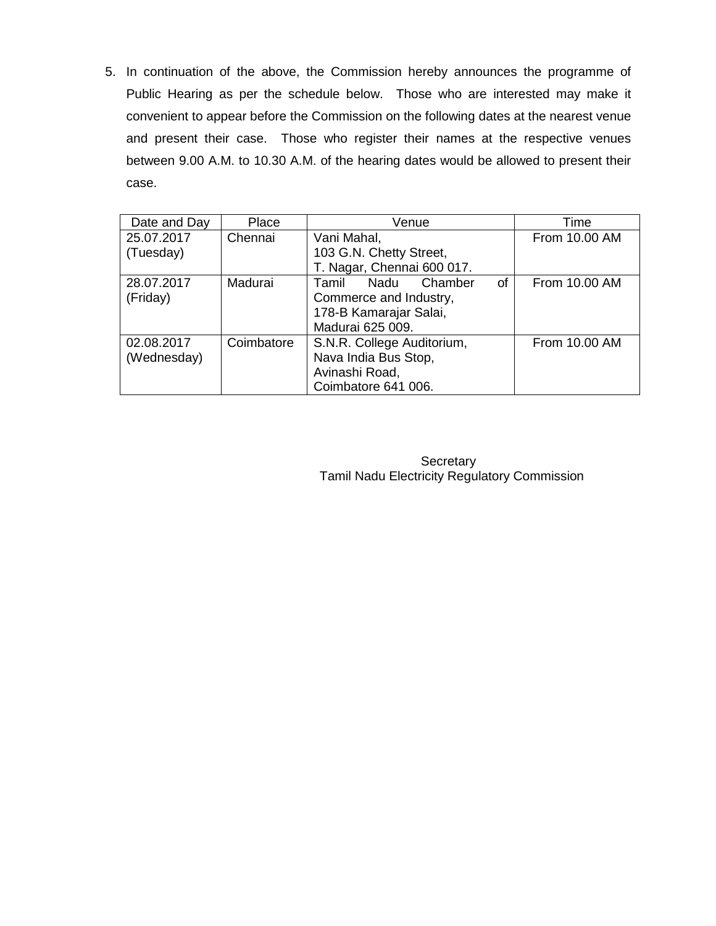5. In continuation of the above, the Commission hereby announces the programme of Public Hearing as per the schedule below. Those who are interested may make it convenient to appear before the Commission on the following dates at the nearest venue and present their case. Those who register their names at the respective venues between 9.00 A.M. to 10.30 A.M. of the hearing dates would be allowed to present their case.

| Date and Day | Place      | Venue                          | Time          |
|--------------|------------|--------------------------------|---------------|
| 25.07.2017   | Chennai    | Vani Mahal,                    | From 10.00 AM |
| (Tuesday)    |            | 103 G.N. Chetty Street,        |               |
|              |            | T. Nagar, Chennai 600 017.     |               |
| 28.07.2017   | Madurai    | 0f<br>Nadu<br>Chamber<br>Tamil | From 10.00 AM |
| (Friday)     |            | Commerce and Industry,         |               |
|              |            | 178-B Kamarajar Salai,         |               |
|              |            | Madurai 625 009.               |               |
| 02.08.2017   | Coimbatore | S.N.R. College Auditorium,     | From 10.00 AM |
| (Wednesday)  |            | Nava India Bus Stop,           |               |
|              |            | Avinashi Road,                 |               |
|              |            | Coimbatore 641 006.            |               |

**Secretary** Tamil Nadu Electricity Regulatory Commission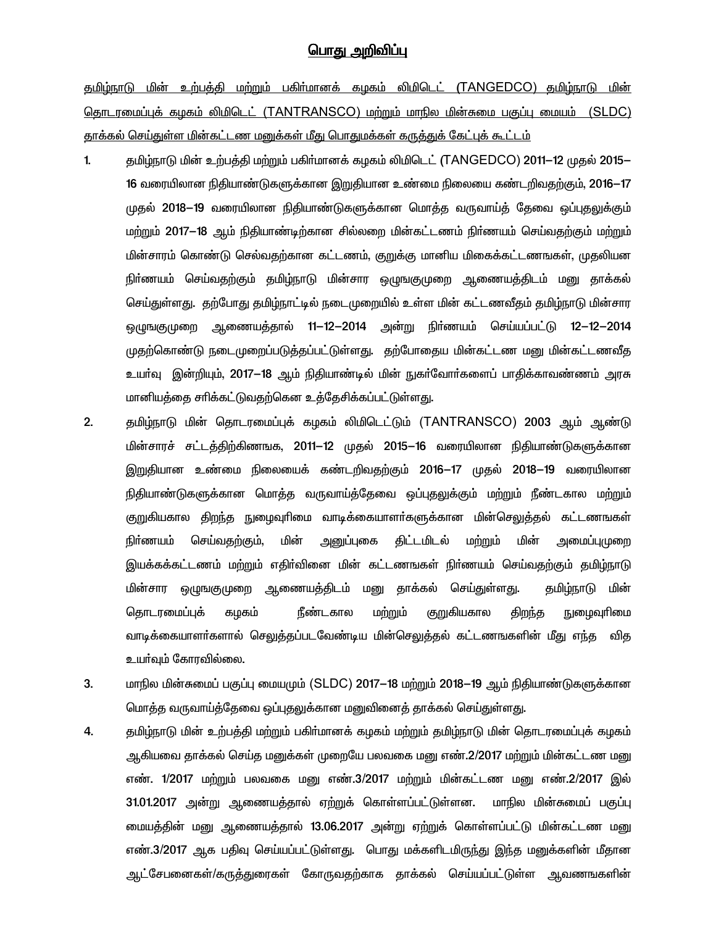## <u> பொது அறிவிப்பு</u>

தமிழ்நாடு மின் உற்பத்தி மற்றும் பகிர்மானக் கழகம் லிமிடெட் (TANGEDCO) தமிழ்நாடு மின் தொடரமைப்புக் கமகம் லிமிடெட் (TANTRANSCO) மற்றும் மாநில மின்சுமை பகுப்பு மையம் (SLDC) <u>தாக்கல் செய்துள்ள மின்கட்டண மனுக்கள் மீது பொதுமக்கள் கருக்துக் கேட்புக் கூட்டம்</u>

- தமிழ்நாடு மின் உற்பத்தி மற்றும் பகிா்மானக் கழகம் லிமிடெட் (TANGEDCO) 2011–12 முதல் 2015–  $1.$ 16 வரையிலான நிதியாண்டுகளுக்கான இறுதியான உண்மை நிலையை கண்டறிவதற்கும், 2016—17 முதல் 2018—19 வரையிலான நிதியாண்டுகளுக்கான மொத்த வருவாய்த் தேவை ஒப்புதலுக்கும் மற்றும் 2017—18 ஆம் நிதியாண்டிற்கான சில்லறை மின்கட்டணம் நிர்ணயம் செய்வதற்கும் மற்றும் மின்சாரம் கொண்டு செல்வதற்கான கட்டணம், குறுக்கு மானிய மிகைக்கட்டணஙகள், முதலியன நிா்ணயம் செய்வதற்கும் தமிழ்நாடு மின்சார ஒழுஙகுமுறை ஆணையத்திடம் மனு தாக்கல் செய்துள்ளது. தற்போது தமிழ்நாட்டில் நடைமுறையில் உள்ள மின் கட்டணவீதம் தமிழ்நாடு மின்சார ஒழுஙகுமுறை ஆணையத்தால் 11—12—2014 அன்று நிா்ணயம் செய்யப்பட்டு 12—12—2014 முதற்கொண்டு நடைமுறைப்படுத்தப்பட்டுள்ளது. தற்போதைய மின்கட்டண மனு மின்கட்டணவீத உயா்வு இன்றியும், 2017—18 ஆம் நிதியாண்டில் மின் நுகா்வோா்களைப் பாதிக்காவண்ணம் அரசு மானியத்தை சரிக்கட்டுவதற்கென உத்தேசிக்கப்பட்டுள்ளது.
- $2.$ தமிழ்நாடு மின் தொடரமைப்புக் கழகம் லிமிடெட்டும் (TANTRANSCO) 2003 ஆம் ஆண்டு மின்சாரச் சட்டத்திற்கிணஙக, 2011–12 முதல் 2015–16 வரையிலான நிதியாண்டுகளுக்கான இறுதியான உண்மை நிலையைக் கண்டறிவதற்கும் 2016—17 முதல் 2018—19 வரையிலான நிதியாண்டுகளுக்கான மொத்த வருவாய்த்தேவை ஒப்புதலுக்கும் மற்றும் நீண்டகால மற்றும் <u>குறு</u>கியகால திறந்த நுழைவுரிமை வாடிக்கையாளர்களுக்கான மின்செலுத்தல் கட்டணஙகள் மின் திட்டமிடல் மின் நிா்ணயம் செய்வதற்கும், அனுப்புகை மற்றும் அமைப்புமுறை இயக்கக்கட்டணம் மற்றும் எதிா்வினை மின் கட்டணஙகள் நிா்ணயம் செய்வதற்கும் தமிழ்நாடு மின்சார ஒழுஙகுமுறை ஆணையத்திடம் மனு தாக்கல் செய்துள்ளது. தமிழ்நாடு மின் நீண்டகால திறந்த தொடரமைப்புக் கழகம் மற்றும் குறுகியகால நுழைவுரிமை வாடிக்கையாளா்களால் செலுத்தப்படவேண்டிய மின்செலுத்தல் கட்டணஙகளின் மீது எந்த வித உயா்வும் கோரவில்லை.
- 3. மாநில மின்சுமைப் பகுப்பு மையமும் (SLDC) 2017–18 மற்றும் 2018–19 ஆம் நிதியாண்டுகளுக்கான மொத்த வருவாய்த்தேவை ஒப்புதலுக்கான மனுவினைத் தாக்கல் செய்துள்ளது.
- 4. தமிழ்நாடு மின் உற்பத்தி மற்றும் பகிர்மானக் கழகம் மற்றும் தமிழ்நாடு மின் தொடரமைப்புக் கழகம் ஆகியவை தாக்கல் செய்த மனுக்கள் முறையே பலவகை மனு எண்.2/2017 மற்றும் மின்கட்டண மனு. எண். 1/2017 மற்றும் பலவகை மனு எண்.3/2017 மற்றும் மின்கட்டண மனு எண்.2/2017 இல் 31.01.2017 அன்று ஆணையத்தால் ஏற்றுக் கொள்ளப்பட்டுள்ளன. மாநில மின்சுமைப் பகுப்பு மையத்தின் மனு ஆணையத்தால் 13.06.2017 அன்று ஏற்றுக் கொள்ளப்பட்டு மின்கட்டண மனு எண்.3/2017 ஆக பதிவு செய்யப்பட்டுள்ளது. பொது மக்களிடமிருந்து இந்த மனுக்களின் மீதான ஆட்சேபனைகள்/கருத்துரைகள் கோருவதற்காக தாக்கல் செய்யப்பட்டுள்ள ஆவணஙகளின்